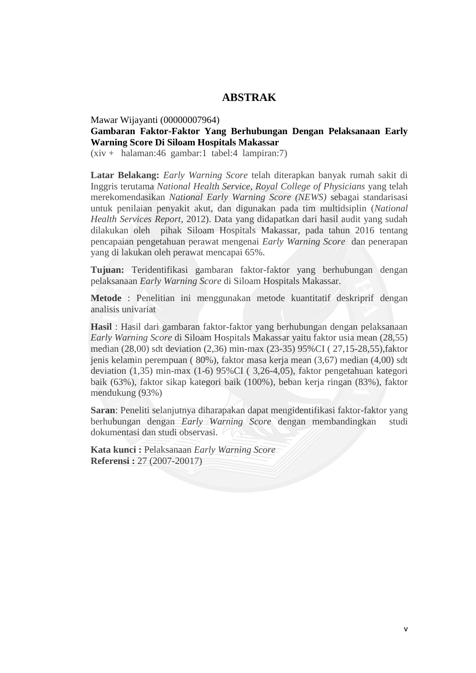## **ABSTRAK**

#### Mawar Wijayanti (00000007964)

#### **Gambaran Faktor-Faktor Yang Berhubungan Dengan Pelaksanaan Early Warning Score Di Siloam Hospitals Makassar**

 $(xiv + \text{halaman:46 gambar:1 table:4 lampiran:7})$ 

**Latar Belakang:** *Early Warning Score* telah diterapkan banyak rumah sakit di Inggris terutama *National Health Service*, *Royal College of Physicians* yang telah merekomendasikan *National Early Warning Score (NEWS)* sebagai standarisasi untuk penilaian penyakit akut, dan digunakan pada tim multidsiplin (*National Health Services Report*, 2012). Data yang didapatkan dari hasil audit yang sudah dilakukan oleh pihak Siloam Hospitals Makassar, pada tahun 2016 tentang pencapaian pengetahuan perawat mengenai *Early Warning Score* dan penerapan yang di lakukan oleh perawat mencapai 65%.

**Tujuan:** Teridentifikasi gambaran faktor-faktor yang berhubungan dengan pelaksanaan *Early Warning Score* di Siloam Hospitals Makassar.

**Metode** : Penelitian ini menggunakan metode kuantitatif deskriprif dengan analisis univariat

**Hasil** : Hasil dari gambaran faktor-faktor yang berhubungan dengan pelaksanaan *Early Warning Score* di Siloam Hospitals Makassar yaitu faktor usia mean (28,55) median (28,00) sdt deviation (2,36) min-max (23-35) 95%CI ( 27,15-28,55),faktor jenis kelamin perempuan ( 80%), faktor masa kerja mean (3,67) median (4,00) sdt deviation (1,35) min-max (1-6) 95%CI ( 3,26-4,05), faktor pengetahuan kategori baik (63%), faktor sikap kategori baik (100%), beban kerja ringan (83%), faktor mendukung (93%)

**Saran**: Peneliti selanjutnya diharapakan dapat mengidentifikasi faktor-faktor yang berhubungan dengan *Early Warning Score* dengan membandingkan studi dokumentasi dan studi observasi.

**Kata kunci :** Pelaksanaan *Early Warning Score* **Referensi :** 27 (2007-20017)